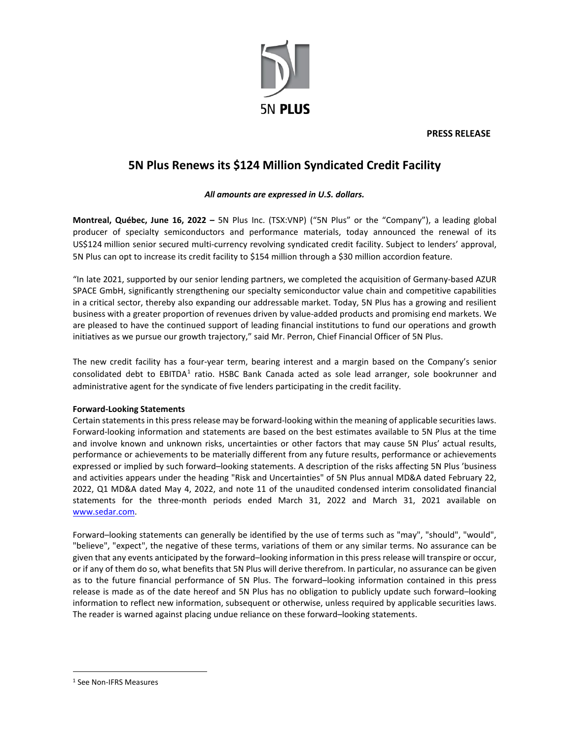

**PRESS RELEASE**

# **5N Plus Renews its \$124 Million Syndicated Credit Facility**

## *All amounts are expressed in U.S. dollars.*

**Montreal, Québec, June 16, 2022 –** 5N Plus Inc. (TSX:VNP) ("5N Plus" or the "Company"), a leading global producer of specialty semiconductors and performance materials, today announced the renewal of its US\$124 million senior secured multi-currency revolving syndicated credit facility. Subject to lenders' approval, 5N Plus can opt to increase its credit facility to \$154 million through a \$30 million accordion feature.

"In late 2021, supported by our senior lending partners, we completed the acquisition of Germany-based AZUR SPACE GmbH, significantly strengthening our specialty semiconductor value chain and competitive capabilities in a critical sector, thereby also expanding our addressable market. Today, 5N Plus has a growing and resilient business with a greater proportion of revenues driven by value-added products and promising end markets. We are pleased to have the continued support of leading financial institutions to fund our operations and growth initiatives as we pursue our growth trajectory," said Mr. Perron, Chief Financial Officer of 5N Plus.

The new credit facility has a four-year term, bearing interest and a margin based on the Company's senior consolidated debt to EBITDA<sup>[1](#page-0-0)</sup> ratio. HSBC Bank Canada acted as sole lead arranger, sole bookrunner and administrative agent for the syndicate of five lenders participating in the credit facility.

### **Forward‐Looking Statements**

Certain statements in this press release may be forward-looking within the meaning of applicable securities laws. Forward-looking information and statements are based on the best estimates available to 5N Plus at the time and involve known and unknown risks, uncertainties or other factors that may cause 5N Plus' actual results, performance or achievements to be materially different from any future results, performance or achievements expressed or implied by such forward–looking statements. A description of the risks affecting 5N Plus 'business and activities appears under the heading "Risk and Uncertainties" of 5N Plus annual MD&A dated February 22, 2022, Q1 MD&A dated May 4, 2022, and note 11 of the unaudited condensed interim consolidated financial statements for the three-month periods ended March 31, 2022 and March 31, 2021 available on [www.sedar.com.](http://www.sedar.com/) 

Forward–looking statements can generally be identified by the use of terms such as "may", "should", "would", "believe", "expect", the negative of these terms, variations of them or any similar terms. No assurance can be given that any events anticipated by the forward–looking information in this press release will transpire or occur, or if any of them do so, what benefits that 5N Plus will derive therefrom. In particular, no assurance can be given as to the future financial performance of 5N Plus. The forward–looking information contained in this press release is made as of the date hereof and 5N Plus has no obligation to publicly update such forward–looking information to reflect new information, subsequent or otherwise, unless required by applicable securities laws. The reader is warned against placing undue reliance on these forward–looking statements.

<span id="page-0-0"></span><sup>1</sup> See Non-IFRS Measures